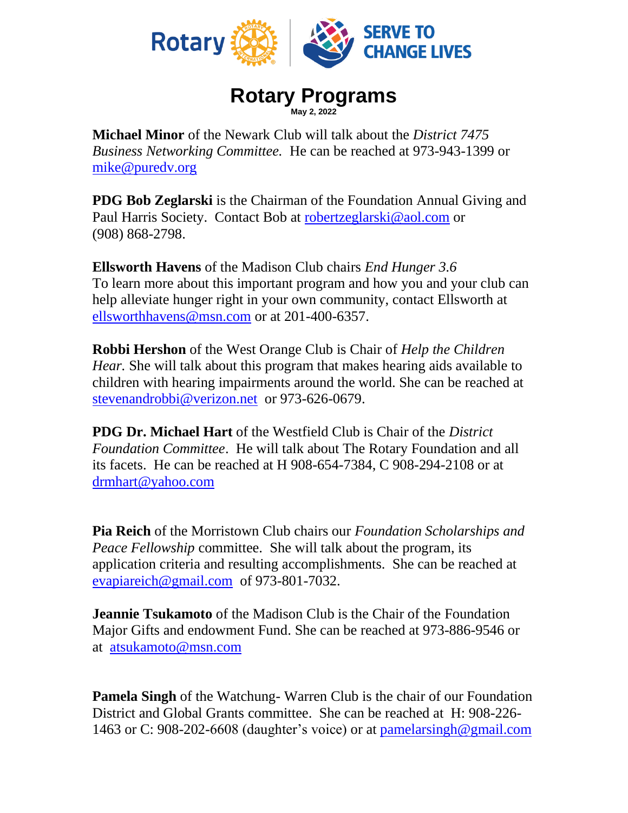

## **Rotary Programs May 2, 2022**

**Michael Minor** of the Newark Club will talk about the *District 7475 Business Networking Committee.* He can be reached at 973-943-1399 or [mike@puredv.org](mailto:mike@puredv.org)

**PDG Bob Zeglarski** is the Chairman of the Foundation Annual Giving and Paul Harris Society. Contact Bob at [robertzeglarski@aol.com](mailto:robertzeglarski@aol.com) or (908) 868-2798.

**Ellsworth Havens** of the Madison Club chairs *End Hunger 3.6* To learn more about this important program and how you and your club can help alleviate hunger right in your own community, contact Ellsworth at [ellsworthhavens@msn.com](mailto:ellsworthhavens@msn.com) or at 201-400-6357.

**Robbi Hershon** of the West Orange Club is Chair of *Help the Children Hear.* She will talk about this program that makes hearing aids available to children with hearing impairments around the world. She can be reached at [stevenandrobbi@verizon.net](mailto:stevenandrobbi@verizon.net) or 973-626-0679.

**PDG Dr. Michael Hart** of the Westfield Club is Chair of the *District Foundation Committee*. He will talk about The Rotary Foundation and all its facets. He can be reached at H 908-654-7384, C 908-294-2108 or at [drmhart@yahoo.com](mailto:drmhart@yahoo.com) 

**Pia Reich** of the Morristown Club chairs our *Foundation Scholarships and Peace Fellowship* committee. She will talk about the program, its application criteria and resulting accomplishments. She can be reached at [evapiareich@gmail.com](mailto:evapiareich@gmail.com) of 973-801-7032.

**Jeannie Tsukamoto** of the Madison Club is the Chair of the Foundation Major Gifts and endowment Fund. She can be reached at 973-886-9546 or at [atsukamoto@msn.com](mailto:atsukamoto@msn.com)

**Pamela Singh** of the Watchung-Warren Club is the chair of our Foundation District and Global Grants committee. She can be reached at H: 908-226- 1463 or C: 908-202-6608 (daughter's voice) or at [pamelarsingh@gmail.com](mailto:pamelarsingh@gmail.com)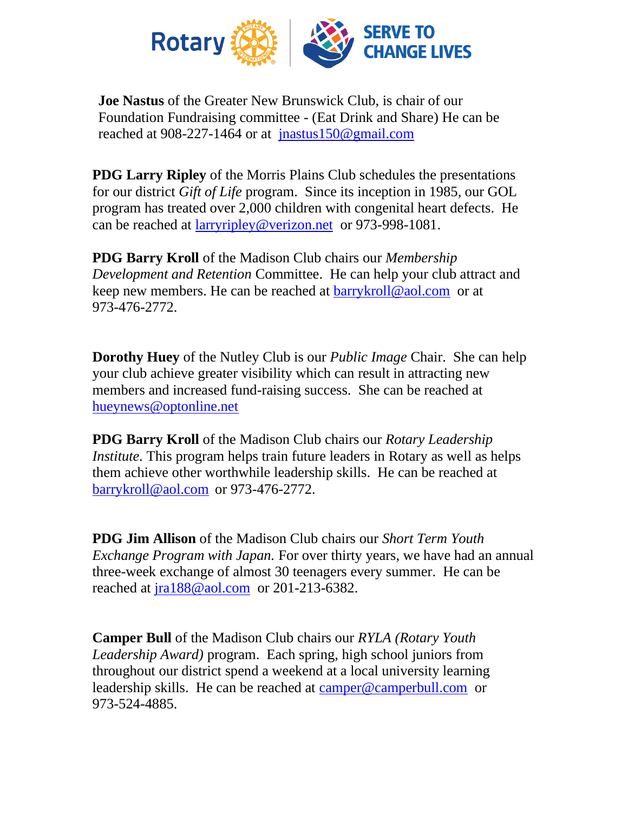

**Joe Nastus** of the Greater New Brunswick Club, is chair of our Foundation Fundraising committee - (Eat Drink and Share) He can be reached at 908-227-1464 or at [jnastus150@gmail.com](mailto:jnastus150@gmail.com)

**PDG Larry Ripley** of the Morris Plains Club schedules the presentations for our district *Gift of Life* program. Since its inception in 1985, our GOL program has treated over 2,000 children with congenital heart defects. He can be reached at [larryripley@verizon.net](mailto:larryripley@verizon.net) or 973-998-1081.

**PDG Barry Kroll** of the Madison Club chairs our *Membership Development and Retention* Committee. He can help your club attract and keep new members. He can be reached at **barrykroll@aol.com** or at 973-476-2772.

**Dorothy Huey** of the Nutley Club is our *Public Image* Chair. She can help your club achieve greater visibility which can result in attracting new members and increased fund-raising success. She can be reached at [hueynews@optonline.net](mailto:hueynews@optonline.net)

**PDG Barry Kroll** of the Madison Club chairs our *Rotary Leadership Institute.* This program helps train future leaders in Rotary as well as helps them achieve other worthwhile leadership skills. He can be reached at [barrykroll@aol.com](mailto:barrykroll@aol.com) or 973-476-2772.

**PDG Jim Allison** of the Madison Club chairs our *Short Term Youth Exchange Program with Japan.* For over thirty years, we have had an annual three-week exchange of almost 30 teenagers every summer. He can be reached at  $\frac{1}{1}$  ra $188@$  aol.com or 201-213-6382.

**Camper Bull** of the Madison Club chairs our *RYLA (Rotary Youth Leadership Award)* program. Each spring, high school juniors from throughout our district spend a weekend at a local university learning leadership skills. He can be reached at [camper@camperbull.com](mailto:camper@camperbull.com) or 973-524-4885.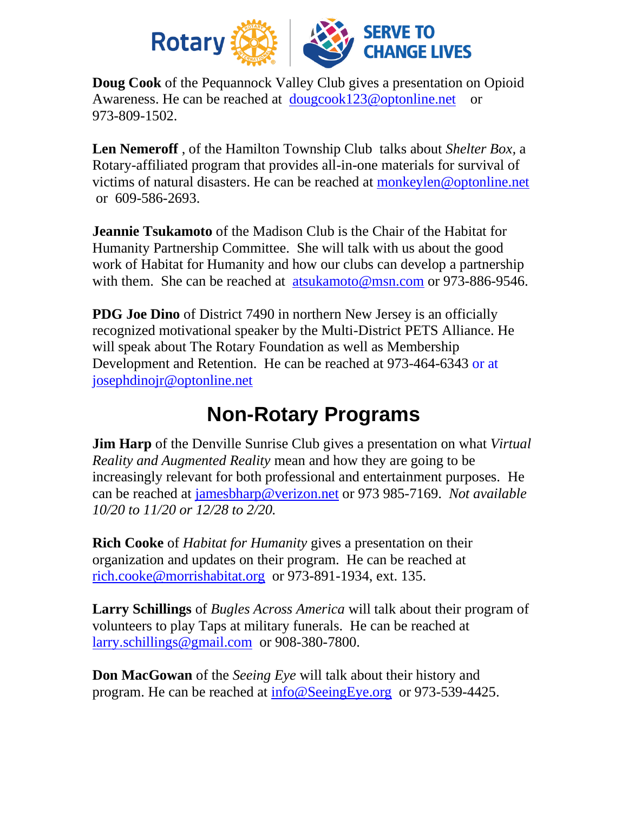

**Doug Cook** of the Pequannock Valley Club gives a presentation on Opioid Awareness. He can be reached at [dougcook123@optonline.net](mailto:dougcook123@optonline.net) or 973-809-1502.

**Len Nemeroff** , of the Hamilton Township Club talks about *Shelter Box,* a Rotary-affiliated program that provides all-in-one materials for survival of victims of natural disasters. He can be reached at [monkeylen@optonline.net](mailto:monkeylen@optonline.net) or 609-586-2693.

**Jeannie Tsukamoto** of the Madison Club is the Chair of the Habitat for Humanity Partnership Committee. She will talk with us about the good work of Habitat for Humanity and how our clubs can develop a partnership with them. She can be reached at [atsukamoto@msn.com](mailto:atsukamoto@msn.com) or 973-886-9546.

**PDG Joe Dino** of District 7490 in northern New Jersey is an officially recognized motivational speaker by the Multi-District PETS Alliance. He will speak about The Rotary Foundation as well as Membership Development and Retention. He can be reached at 973-464-6343 or at [josephdinojr@optonline.net](mailto:josephdinojr@optonline.net)

## **Non-Rotary Programs**

**Jim Harp** of the Denville Sunrise Club gives a presentation on what *Virtual Reality and Augmented Reality* mean and how they are going to be increasingly relevant for both professional and entertainment purposes. He can be reached at [jamesbharp@verizon.net](mailto:jamesbharp@verizon.net) or 973 985-7169. *Not available 10/20 to 11/20 or 12/28 to 2/20.*

**Rich Cooke** of *Habitat for Humanity* gives a presentation on their organization and updates on their program. He can be reached at [rich.cooke@morrishabitat.org](mailto:rich.cooke@morrishabitat.org) or 973-891-1934, ext. 135.

**Larry Schillings** of *Bugles Across America* will talk about their program of volunteers to play Taps at military funerals. He can be reached at [larry.schillings@gmail.com](mailto:larry.schillings@gmail.com) or 908-380-7800.

**Don MacGowan** of the *Seeing Eye* will talk about their history and program. He can be reached at [info@SeeingEye.org](mailto:info@SeeingEye.org) or 973-539-4425.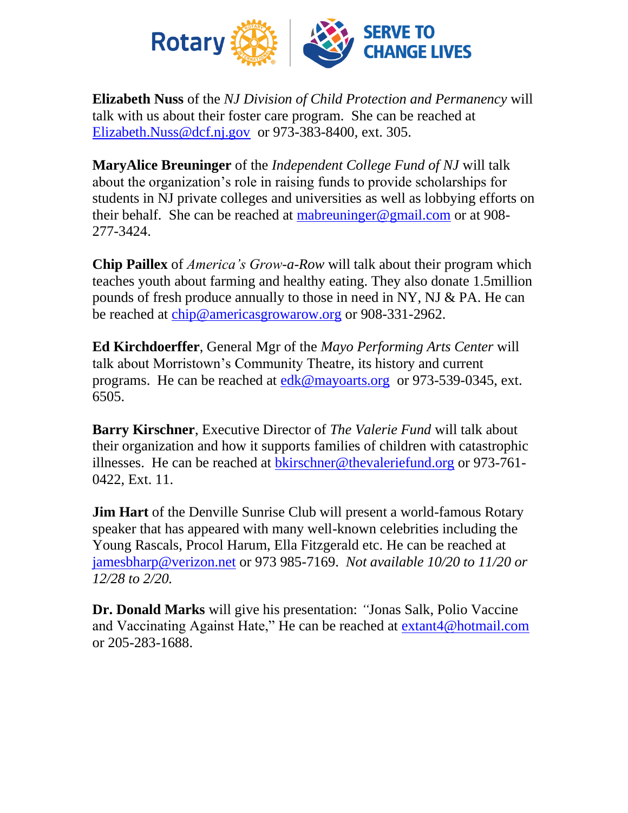

**Elizabeth Nuss** of the *NJ Division of Child Protection and Permanency* will talk with us about their foster care program. She can be reached at [Elizabeth.Nuss@dcf.nj.gov](mailto:Elizabeth.Nuss@dcf.nj.gov) or 973-383-8400, ext. 305.

**MaryAlice Breuninger** of the *Independent College Fund of NJ* will talk about the organization's role in raising funds to provide scholarships for students in NJ private colleges and universities as well as lobbying efforts on their behalf. She can be reached at [mabreuninger@gmail.com](mailto:mabreuninger@gmail.com) or at  $908$ -277-3424.

**Chip Paillex** of *America's Grow-a-Row* will talk about their program which teaches youth about farming and healthy eating. They also donate 1.5million pounds of fresh produce annually to those in need in NY, NJ & PA. He can be reached at [chip@americasgrowarow.org](mailto:chip@americasgrowarow.org) or 908-331-2962.

**Ed Kirchdoerffer**, General Mgr of the *Mayo Performing Arts Center* will talk about Morristown's Community Theatre, its history and current programs. He can be reached at [edk@mayoarts.org](mailto:edk@mayoarts.org) or 973-539-0345, ext. 6505.

**Barry Kirschner**, Executive Director of *The Valerie Fund* will talk about their organization and how it supports families of children with catastrophic illnesses. He can be reached at [bkirschner@thevaleriefund.org](mailto:bkirschner@thevaleriefund.org) or 973-761- 0422, Ext. 11.

**Jim Hart** of the Denville Sunrise Club will present a world-famous Rotary speaker that has appeared with many well-known celebrities including the Young Rascals, Procol Harum, Ella Fitzgerald etc. He can be reached at [jamesbharp@verizon.net](mailto:jamesbharp@verizon.net) or 973 985-7169. *Not available 10/20 to 11/20 or 12/28 to 2/20.*

**Dr. Donald Marks** will give his presentation: *"*Jonas Salk, Polio Vaccine and Vaccinating Against Hate," He can be reached at [extant4@hotmail.com](mailto:extant4@hotmail.com) or 205-283-1688.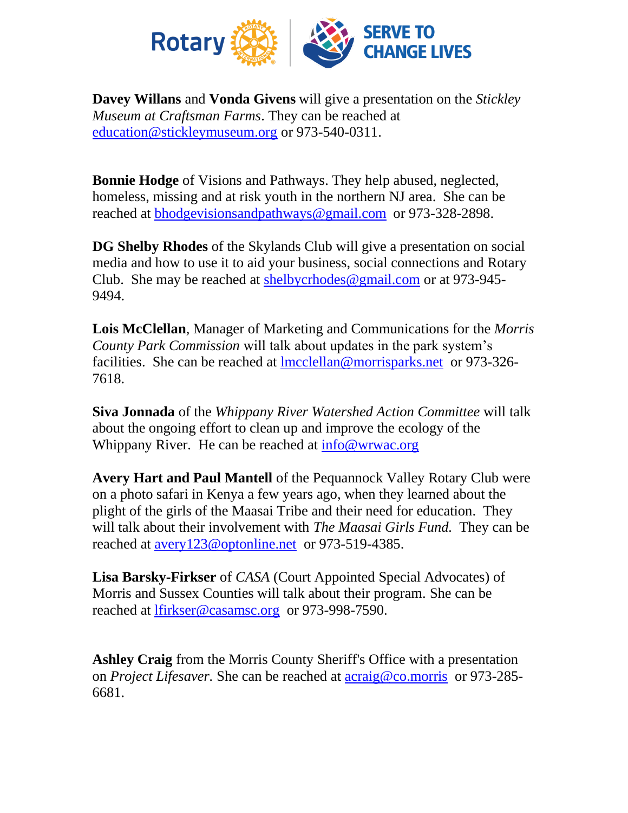

**Davey Willans** and **Vonda Givens** will give a presentation on the *Stickley Museum at Craftsman Farms*. They can be reached at [education@stickleymuseum.org](mailto:education@stickleymuseum.org) or 973-540-0311[.](mailto:education@stickleymuseum.org)

**Bonnie Hodge** of Visions and Pathways. They help abused, neglected, homeless, missing and at risk youth in the northern NJ area. She can be reached at [bhodgevisionsandpathways@gmail.com](mailto:bhodgevisionsandpathways@gmail.com) or 973-328-2898.

**DG Shelby Rhodes** of the Skylands Club will give a presentation on social media and how to use it to aid your business, social connections and Rotary Club. She may be reached at [shelbycrhodes@gmail.com](mailto:shelbycrhodes@gmail.com) or at 973-945- 9494.

**Lois McClellan**, Manager of Marketing and Communications for the *Morris County Park Commission* will talk about updates in the park system's facilities. She can be reached at [lmcclellan@morrisparks.net](mailto:lmcclellan@morrisparks.net) or 973-326- 7618.

**Siva Jonnada** of the *Whippany River Watershed Action Committee* will talk about the ongoing effort to clean up and improve the ecology of the Whippany River. He can be reached at info@wrwac.org

**Avery Hart and Paul Mantell** of the Pequannock Valley Rotary Club were on a photo safari in Kenya a few years ago, when they learned about the plight of the girls of the Maasai Tribe and their need for education. They will talk about their involvement with *The Maasai Girls Fund.* They can be reached at [avery123@optonline.net](mailto:avery123@optonline.net) or 973-519-4385.

**Lisa Barsky-Firkser** of *CASA* (Court Appointed Special Advocates) of Morris and Sussex Counties will talk about their program. She can be reached at [lfirkser@casamsc.org](mailto:lfirkser@casamsc.org) or 973-998-7590.

**Ashley Craig** from the Morris County Sheriff's Office with a presentation on *Project Lifesaver.* She can be reached at [acraig@co.morris](mailto:acraig@co.morris) or 973-285- 6681.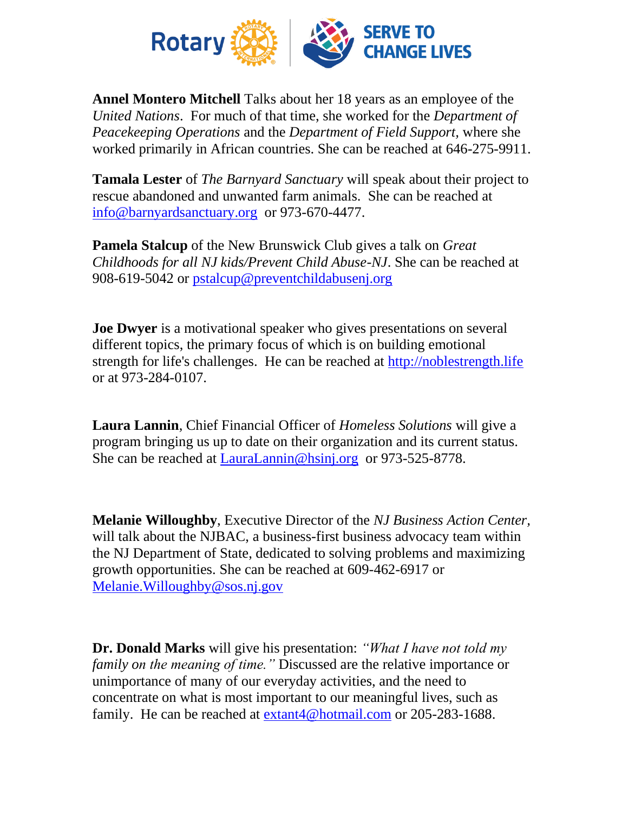

**Annel Montero Mitchell** Talks about her 18 years as an employee of the *United Nations*. For much of that time, she worked for the *Department of Peacekeeping Operations* and the *Department of Field Support,* where she worked primarily in African countries. She can be reached at 646-275-9911.

**Tamala Lester** of *The Barnyard Sanctuary* will speak about their project to rescue abandoned and unwanted farm animals. She can be reached at [info@barnyardsanctuary.org](mailto:info@barnyardsanctuary.org) or 973-670-4477.

**Pamela Stalcup** of the New Brunswick Club gives a talk on *Great Childhoods for all NJ kids/Prevent Child Abuse-NJ*. She can be reached at 908-619-5042 or [pstalcup@preventchildabusenj.org](mailto:pstalcup@preventchildabusenj.org)

**Joe Dwyer** is a motivational speaker who gives presentations on several different topics, the primary focus of which is on building emotional strength for life's challenges. He can be reached at [http://noblestrength.life](http://noblestrength.life/)  or at 973-284-0107.

**Laura Lannin**, Chief Financial Officer of *Homeless Solutions* will give a program bringing us up to date on their organization and its current status. She can be reached at [LauraLannin@hsinj.org](mailto:LauraLannin@hsinj.org) or 973-525-8778.

**Melanie Willoughby**, Executive Director of the *NJ Business Action Center,* will talk about the NJBAC, a business-first business advocacy team within the NJ Department of State, dedicated to solving problems and maximizing growth opportunities. She can be reached at 609-462-6917 or [Melanie.Willoughby@sos.nj.gov](mailto:Melanie.Willoughby@sos.nj.gov)

**Dr. Donald Marks** will give his presentation: *"What I have not told my family on the meaning of time."* Discussed are the relative importance or unimportance of many of our everyday activities, and the need to concentrate on what is most important to our meaningful lives, such as family. He can be reached at [extant4@hotmail.com](mailto:extant4@hotmail.com) or 205-283-1688.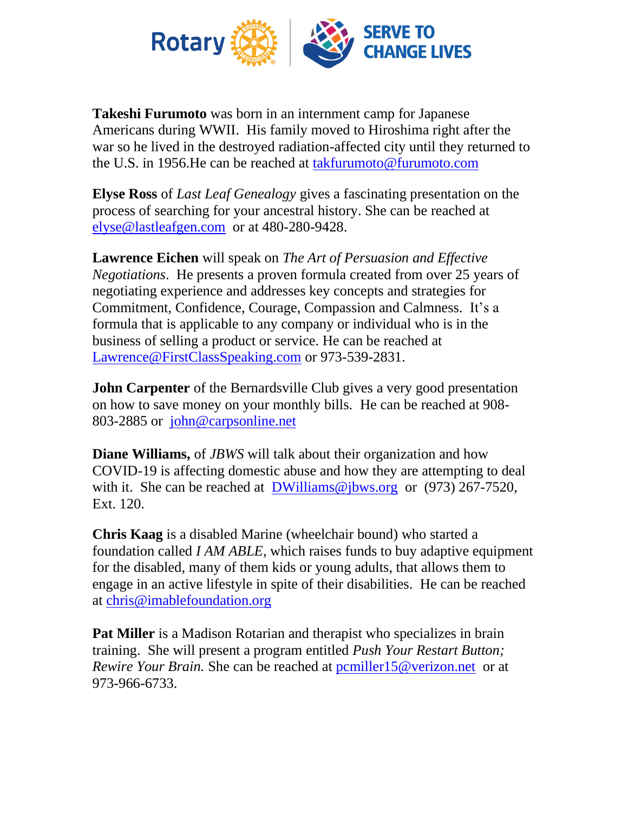

**Takeshi Furumoto** was born in an internment camp for Japanese Americans during WWII. His family moved to Hiroshima right after the war so he lived in the destroyed radiation-affected city until they returned to the U.S. in 1956.He can be reached at [takfurumoto@furumoto.com](mailto:takfurumoto@furumoto.com)

**Elyse Ross** of *Last Leaf Genealogy* gives a fascinating presentation on the process of searching for your ancestral history. She can be reached at [elyse@lastleafgen.com](mailto:elyse@lastleafgen.com) or at 480-280-9428.

**Lawrence Eichen** will speak on *The Art of Persuasion and Effective Negotiations*. He presents a proven formula created from over 25 years of negotiating experience and addresses key concepts and strategies for Commitment, Confidence, Courage, Compassion and Calmness. It's a formula that is applicable to any company or individual who is in the business of selling a product or service. He can be reached at [Lawrence@FirstClassSpeaking.com](mailto:Lawrence@FirstClassSpeaking.com) or 973-539-2831.

**John Carpenter** of the Bernardsville Club gives a very good presentation on how to save money on your monthly bills.He can be reached at 908- 803-2885 or [john@carpsonline.net](mailto:john@carpsonline.net)

**Diane Williams,** of *JBWS* will talk about their organization and how COVID-19 is affecting domestic abuse and how they are attempting to deal with it. She can be reached at [DWilliams@jbws.org](mailto:DWilliams@jbws.org) or (973) 267-7520, Ext. 120.

**Chris Kaag** is a disabled Marine (wheelchair bound) who started a foundation called *I AM ABLE*, which raises funds to buy adaptive equipment for the disabled, many of them kids or young adults, that allows them to engage in an active lifestyle in spite of their disabilities. He can be reached at [chris@imablefoundation.org](mailto:chris@imablefoundation.org)

**Pat Miller** is a Madison Rotarian and therapist who specializes in brain training. She will present a program entitled *Push Your Restart Button; Rewire Your Brain.* She can be reached at [pcmiller15@verizon.net](mailto:pcmiller15@verizon.net) or at 973-966-6733.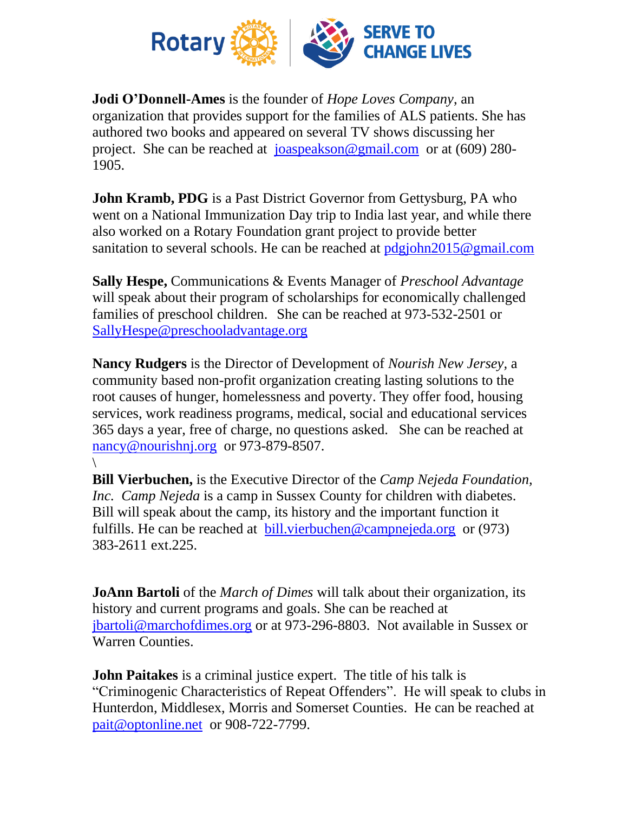

**Jodi O'Donnell-Ames** is the founder of *Hope Loves Company*, an organization that provides support for the families of ALS patients. She has authored two books and appeared on several TV shows discussing her project. She can be reached at [joaspeakson@gmail.com](mailto:joaspeakson@gmail.com) or at (609) 280- 1905.

**John Kramb, PDG** is a Past District Governor from Gettysburg, PA who went on a National Immunization Day trip to India last year, and while there also worked on a Rotary Foundation grant project to provide better sanitation to several schools. He can be reached at [pdgjohn2015@gmail.com](mailto:pdgjohn2015@gmail.com)

**Sally Hespe,** Communications & Events Manager of *Preschool Advantage* will speak about their program of scholarships for economically challenged families of preschool children. She can be reached at 973-532-2501 or [SallyHespe@preschooladvantage.org](mailto:SallyHespe@preschooladvantage.org)

**Nancy Rudgers** is the Director of Development of *Nourish New Jersey,* a community based non-profit organization creating lasting solutions to the root causes of hunger, homelessness and poverty. They offer food, housing services, work readiness programs, medical, social and educational services 365 days a year, free of charge, no questions asked. She can be reached at [nancy@nourishnj.org](mailto:nancy@nourishnj.org) or 973-879-8507.

 $\setminus$ 

**Bill Vierbuchen,** is the Executive Director of the *Camp Nejeda Foundation, Inc. Camp Nejeda* is a camp in Sussex County for children with diabetes. Bill will speak about the camp, its history and the important function it fulfills. He can be reached at [bill.vierbuchen@campnejeda.org](mailto:jennifer.passerini@campnejeda.org) or (973) 383-2611 ext.225.

**JoAnn Bartoli** of the *March of Dimes* will talk about their organization, its history and current programs and goals. She can be reached at [jbartoli@marchofdimes.org](mailto:jbartoli@marchofdimes.org) or at 973-296-8803. Not available in Sussex or Warren Counties.

**John Paitakes** is a criminal justice expert. The title of his talk is "Criminogenic Characteristics of Repeat Offenders". He will speak to clubs in Hunterdon, Middlesex, Morris and Somerset Counties. He can be reached at [pait@optonline.net](mailto:pait@optonline.net) or 908-722-7799.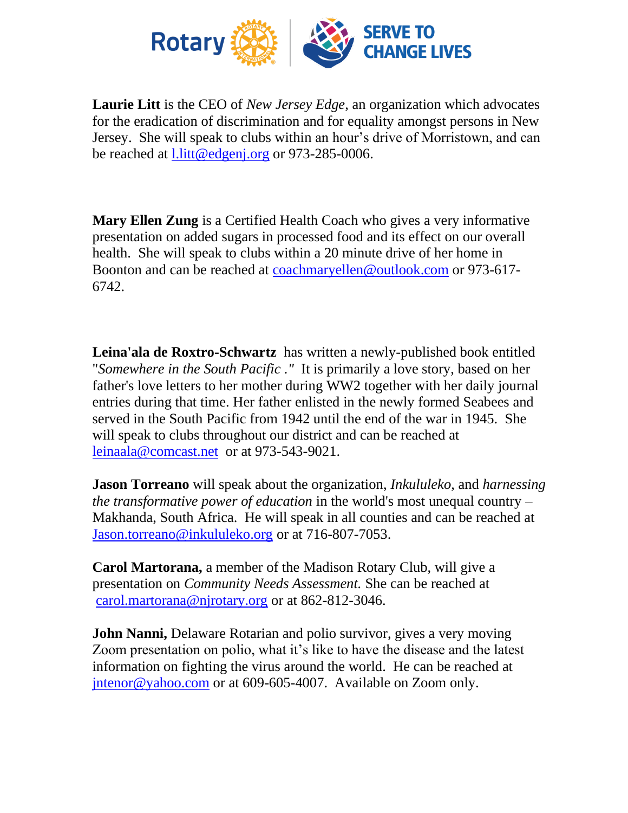

**Laurie Litt** is the CEO of *New Jersey Edge,* an organization which advocates for the eradication of discrimination and for equality amongst persons in New Jersey. She will speak to clubs within an hour's drive of Morristown, and can be reached at l.litt@edgeni.org or 973-285-0006.

**Mary Ellen Zung** is a Certified Health Coach who gives a very informative presentation on added sugars in processed food and its effect on our overall health. She will speak to clubs within a 20 minute drive of her home in Boonton and can be reached at [coachmaryellen@outlook.com](mailto:coachmaryellen@outlook.com) or 973-617- 6742.

**Leina'ala de Roxtro-Schwartz** has written a newly-published book entitled "*Somewhere in the South Pacific ."* It is primarily a love story, based on her father's love letters to her mother during WW2 together with her daily journal entries during that time. Her father enlisted in the newly formed Seabees and served in the South Pacific from 1942 until the end of the war in 1945. She will speak to clubs throughout our district and can be reached at [leinaala@comcast.net](mailto:leinaala@comcast.net) or at 973-543-9021.

**Jason Torreano** will speak about the organization, *Inkululeko,* and *harnessing the transformative power of education* in the world's most unequal country – Makhanda, South Africa. He will speak in all counties and can be reached at [Jason.torreano@inkululeko.org](mailto:Jason.torreano@inkululeko.org) or at 716-807-7053.

**Carol Martorana,** a member of the Madison Rotary Club, will give a presentation on *Community Needs Assessment.* She can be reached at [carol.martorana@njrotary.org](mailto:carol.martorana@njrotary.org) or at 862-812-3046.

**John Nanni,** Delaware Rotarian and polio survivor, gives a very moving Zoom presentation on polio, what it's like to have the disease and the latest information on fighting the virus around the world. He can be reached at [jntenor@yahoo.com](mailto:jntenor@yahoo.com) or at 609-605-4007. Available on Zoom only.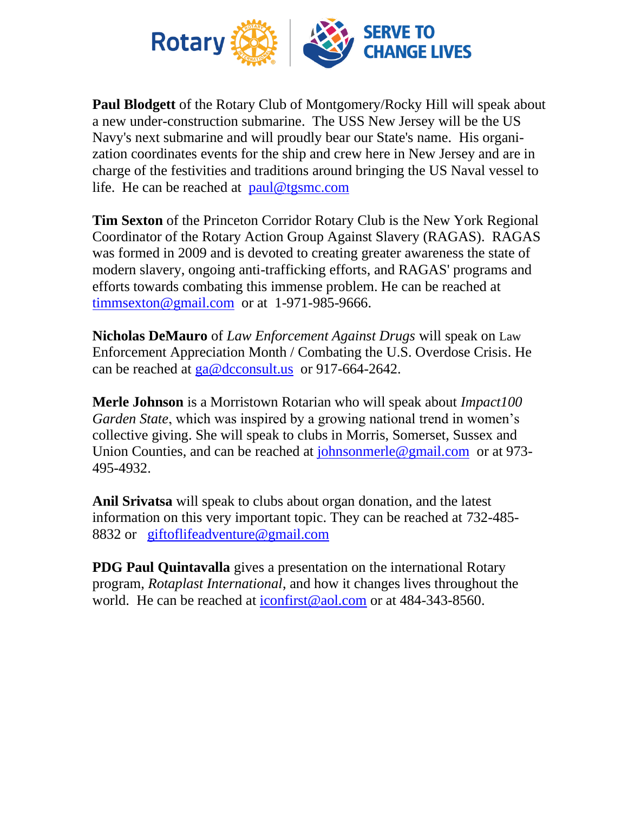

**Paul Blodgett** of the Rotary Club of Montgomery/Rocky Hill will speak about a new under-construction submarine. The USS New Jersey will be the US Navy's next submarine and will proudly bear our State's name. His organization coordinates events for the ship and crew here in New Jersey and are in charge of the festivities and traditions around bringing the US Naval vessel to life. He can be reached at [paul@tgsmc.com](mailto:paul@tgsmc.com)

**Tim Sexton** of the Princeton Corridor Rotary Club is the New York Regional Coordinator of the Rotary Action Group Against Slavery (RAGAS). RAGAS was formed in 2009 and is devoted to creating greater awareness the state of modern slavery, ongoing anti-trafficking efforts, and RAGAS' programs and efforts towards combating this immense problem. He can be reached at  $t$ immsexton@gmail.com or at 1-971-985-9666.

**Nicholas DeMauro** of *Law Enforcement Against Drugs* will speak on Law Enforcement Appreciation Month / Combating the U.S. Overdose Crisis. He can be reached at [ga@dcconsult.us](mailto:ga@dcconsult.us) or 917-664-2642.

**Merle Johnson** is a Morristown Rotarian who will speak about *Impact100 Garden State*, which was inspired by a growing national trend in women's collective giving. She will speak to clubs in Morris, Somerset, Sussex and Union Counties, and can be reached at [johnsonmerle@gmail.com](mailto:johnsonmerle@gmail.com) or at 973- 495-4932.

**Anil Srivatsa** will speak to clubs about organ donation, and the latest information on this very important topic. They can be reached at 732-485- 8832 or [giftoflifeadventure@gmail.com](mailto:giftoflifeadventure@gmail.com)

**PDG Paul Quintavalla** gives a presentation on the international Rotary program, *Rotaplast International*, and how it changes lives throughout the world. He can be reached at [iconfirst@aol.com](mailto:iconfirst@aol.com) or at 484-343-8560.